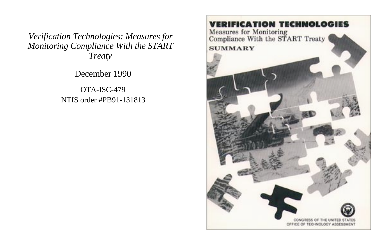*Verification Technologies: Measures for Monitoring Compliance With the START Treaty*

December 1990

OTA-ISC-479 NTIS order #PB91-131813

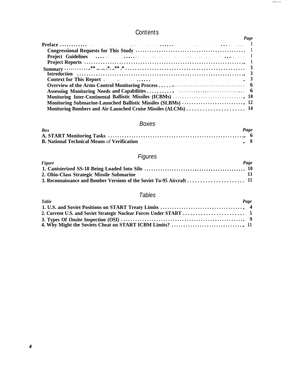# **Contents**

| Page                                                    |  |
|---------------------------------------------------------|--|
|                                                         |  |
|                                                         |  |
|                                                         |  |
|                                                         |  |
|                                                         |  |
|                                                         |  |
|                                                         |  |
|                                                         |  |
|                                                         |  |
| Monitoring Inter-Continental Ballistic Missiles (ICBMs) |  |
|                                                         |  |
|                                                         |  |

# Boxes

| <b>Box</b>                                           | Page |  |
|------------------------------------------------------|------|--|
|                                                      |      |  |
| <b>B. National Technical Means of Verification</b> 8 |      |  |

# Figures

| <b>Figure</b>                             | Page |
|-------------------------------------------|------|
|                                           |      |
| 2. Ohio-Class Strategic Missile Submarine | -13  |
|                                           |      |

# Tables

| <b>Table</b> | Page |
|--------------|------|
|              |      |
|              |      |
|              |      |
|              |      |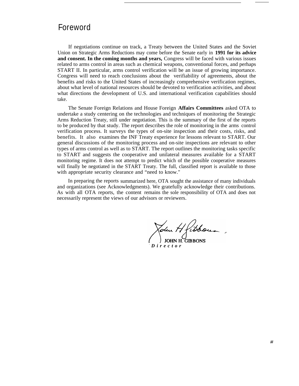# Foreword

If negotiations continue on track, a Treaty between the United States and the Soviet Union on Strategic Arms Reductions may come before the Senate early in **1991 for its advice and consent. In the coming months and years,** Congress will be faced with various issues related to arms control in areas such as chemical weapons, conventional forces, and perhaps START II. In particular, arms control verification will be an issue of growing importance. Congress will need to reach conclusions about the verifiability of agreements, about the benefits and risks to the United States of increasingly comprehensive verification regimes, about what level of national resources should be devoted to verification activities, and about what directions the development of U.S. and international verification capabilities should take.

The Senate Foreign Relations and House Foreign **Affairs Committees** asked OTA to undertake a study centering on the technologies and techniques of monitoring the Strategic Arms Reduction Treaty, still under negotiation. This is the summary of the first of the reports to be produced by that study. The report describes the role of monitoring in the arms control verification process. It surveys the types of on-site inspection and their costs, risks, and benefits. It also examines the INF Treaty experience for lessons relevant to START. Our general discussions of the monitoring process and on-site inspections are relevant to other types of arms control as well as to START. The report outlines the monitoring tasks specific to START and suggests the cooperative and unilateral measures available for a START monitoring regime. It does not attempt to predict which of the possible cooperative measures will finally be negotiated in the START Treaty. The full, classified report is available to those with appropriate security clearance and "need to know."

In preparing the reports summarized here, OTA sought the assistance of many individuals and organizations (see Acknowledgments). We gratefully acknowledge their contributions. As with all OTA reports, the content remains the sole responsibility of OTA and does not necessarily represent the views of our advisors or reviewers.

**JOHN H. GIBBONS** *- Directo r*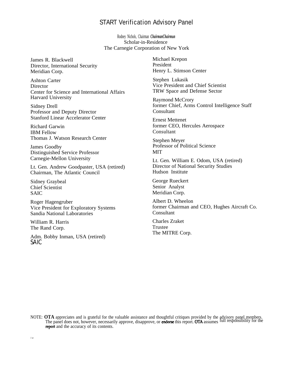### START Verification Advisory Panel

Rodney Nichols, Chairman *ChairmanChairmun* Scholar-in-Residence The Carnegie Corporation of New York

James R. Blackwell Director, International Security Meridian Corp.

Ashton Carter **Director** Center for Science and International Affairs Harvard University

Sidney Drell Professor and Deputy Director Stanford Linear Accelerator Center

Richard Garwin IBM Fellow Thomas J. Watson Research Center

James Goodby Distinguished Service Professor Carnegie-Mellon University

Lt. Gen. Andrew Goodpaster, USA (retired) Chairman, The Atlantic Council

Sidney Graybeal Chief Scientist SAIC

Roger Hagengruber Vice President for Exploratory Systems Sandia National Laboratories

William R. Harris The Rand Corp.

Adm. Bobby Inman, USA (retired) SAIC

Michael Krepon President Henry L. Stimson Center

Stephen Lukasik Vice President and Chief Scientist TRW Space and Defense Sector

Raymond McCrory former Chief, Arms Control Intelligence Staff Consultant

Ernest Mettenet former CEO, Hercules Aerospace Consultant

Stephen Meyer Professor of Political Science MIT

Lt. Gen. William E. Odom, USA (retired) Director of National Security Studies Hudson Institute

George Rueckert Senior Analyst Meridian Corp.

Albert D. Wheelon former Chairman and CEO, Hughes Aircraft Co. Consultant

Charles Zraket Trustee The MITRE Corp.

NOTE: OTA appreciates and is grateful for the valuable assistance and thoughtful critiques provided by the advisory panel members.<br>The panel does not, however, necessarily approve, disapprove, or **endorse** this report. OTA report and the accuracy of its contents.

i v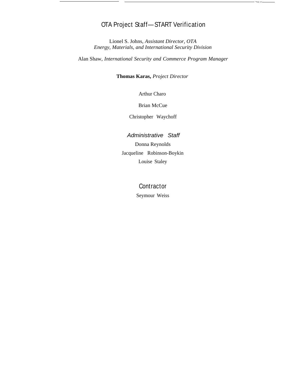# OTA Project Staff—START Verification

Lionel S. Johns, *Assistant Director, OTA Energy, Materials, and International Security Division*

Alan Shaw, *International Security and Commerce Program Manager*

**Thomas Karas,** *Project Director*

Arthur Charo

Brian McCue

Christopher Waychoff

#### Administrative Staff

Donna Reynolds Jacqueline Robinson-Boykin Louise Staley

## **Contractor**

Seymour Weiss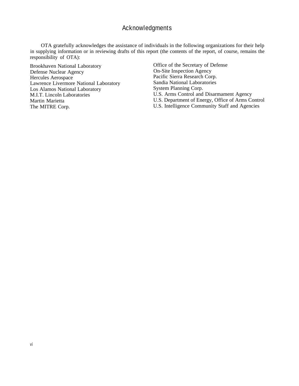## Acknowledgments

OTA gratefully acknowledges the assistance of individuals in the following organizations for their help in supplying information or in reviewing drafts of this report (the contents of the report, of course, remains the responsibility of OTA):

Brookhaven National Laboratory Defense Nuclear Agency Hercules Aerospace Lawrence Livermore National Laboratory Los Alamos National Laboratory M.I.T. Lincoln Laboratories Martin Marietta The MITRE Corp.

Office of the Secretary of Defense On-Site Inspection Agency Pacific Sierra Research Corp. Sandia National Laboratories System Planning Corp. U.S. Arms Control and Disarmament Agency U.S. Department of Energy, Office of Arms Control U.S. Intelligence Community Staff and Agencies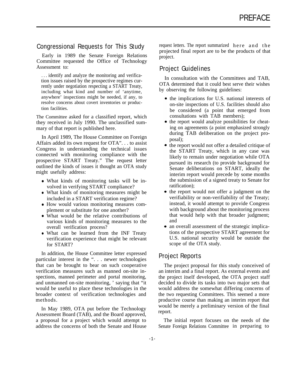#### Congressional Requests for This Study

Early in 1989 the Senate Foreign Relations Committee requested the Office of Technology Assessment to:

. . . identify and analyze the monitoring and verification issues raised by the prospective regimes currently under negotiation respecting a START Treaty, including what kind and number of 'anytime, anywhere' inspections might be needed, if any, to resolve concerns about covert inventories or production facilities.

The Committee asked for a classified report, which they received in July 1990. The unclassified summary of that report is published here.

In April 1989, The House Committee on Foreign Affairs added its own request for OTA". . . to assist Congress in understanding the technical issues connected with monitoring compliance with the prospective START Treaty." The request letter outlined the kinds of issues it thought an OTA study might usefully address:

- What kinds of monitoring tasks will be involved in verifying START compliance?
- What kinds of monitoring measures might be included in a START verification regime?
- How would various monitoring measures complement or substitute for one another?
- What would be the relative contributions of various kinds of monitoring measures to the overall verification process?
- What can be learned from the INF Treaty verification experience that might be relevant for START?

In addition, the House Committee letter expressed particular interest in the ". . . newer technologies that can be brought to bear on such cooperative verification measures such as manned on-site inspections, manned perimeter and portal monitoring, and unmanned on-site monitoring, ' saying that "it would be useful to place these technologies in the broader context of verification technologies and methods.

In May 1989, OTA put before the Technology Assessment Board (TAB), and the Board approved, a proposal for a project which would attempt to address the concerns of both the Senate and House

request letters. The report summarized here and the projected final report are to be the products of that project.

### Project Guidelines

In consultation with the Committees and TAB, OTA determined that it could best serve their wishes by observing the following guidelines:

- the implications for U.S. national interests of on-site inspections of U.S. facilities should also be considered (a point that emerged from consultations with TAB members);
- the report would analyze possibilities for cheating on agreements (a point emphasized strongly during TAB deliberation on the project proposal);
- $\bullet$  the report would not offer a detailed critique of the START Treaty, which in any case was likely to remain under negotiation while OTA pursued its research (to provide background for Senate deliberations on START, ideally the interim report would precede by some months the submission of a signed treaty to Senate for ratification);
- the report would not offer a judgment on the verifiability or non-verifiability of the Treaty; instead, it would attempt to provide Congress with background about the monitoring process that would help with that broader judgment; and
- an overall assessment of the strategic implications of the prospective START agreement for U.S. national security would be outside the scope of the OTA study.

### Project Reports

The project proposal for this study conceived of an interim and a final report. As external events and the project itself developed, the OTA project staff decided to divide its tasks into two major sets that would address the somewhat differing concerns of the two requesting Committees. This seemed a more productive course than making an interim report that would be merely a preliminary version of the final report.

The initial report focuses on the needs of the Senate Foreign Relations Committee in preparing to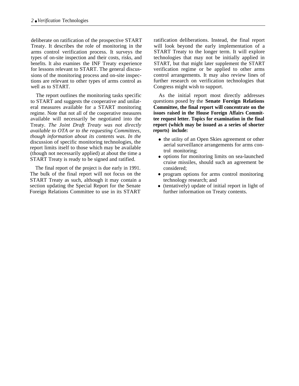deliberate on ratification of the prospective START Treaty. It describes the role of monitoring in the arms control verification process. It surveys the types of on-site inspection and their costs, risks, and benefits. It also examines the INF Treaty experience for lessons relevant to START. The general discussions of the monitoring process and on-site inspections are relevant to other types of arms control as well as to START.

The report outlines the monitoring tasks specific to START and suggests the cooperative and unilateral measures available for a START monitoring regime. Note that not all of the cooperative measures available will necessarily be negotiated into the Treaty. *The Joint Draft Treaty was not directly available to OTA or to the requesting Committees, though information about its contents was. In the* discussion of specific monitoring technologies, the report limits itself to those which may be available (though not necessarily applied) at about the time a START Treaty is ready to be signed and ratified.

The final report of the project is due early in 1991. The bulk of the final report will not focus on the START Treaty as such, although it may contain a section updating the Special Report for the Senate Foreign Relations Committee to use in its START

ratification deliberations. Instead, the final report will look beyond the early implementation of a START Treaty to the longer term. It will explore technologies that may not be initially applied in START, but that might later supplement the START verification regime or be applied to other arms control arrangements. It may also review lines of further research on verification technologies that Congress might wish to support.

As the initial report most directly addresses questions posed by the **Senate Foreign Relations Committee, the final report will concentrate on the issues raised in the House Foreign Affairs Committee request letter. Topics for examination in the final report (which may be issued as a series of shorter reports) include:**

- the utility of an Open Skies agreement or other aerial surveillance arrangements for arms control monitoring;
- options for monitoring limits on sea-launched cruise missiles, should such an agreement be considered;
- program options for arms control monitoring technology research; and
- (tentatively) update of initial report in light of further information on Treaty contents.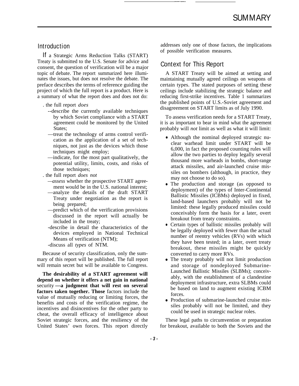### Introduction

If a Strategic Arms Reduction Talks (START) Treaty is submitted to the U.S. Senate for advice and consent, the question of verification will be a major topic of debate. The report summarized here illuminates the issues, but does not resolve the debate. The preface describes the terms of reference guiding the project of which the full report is a product. Here is a summary of what the report does and does not do:

- . the full report *does*
	- --describe the currently available techniques by which Soviet compliance with a START agreement could be monitored by the United States;
	- —treat the technology of arms control verification as the application of a set of techniques, not just as the devices which those techniques might employ;
	- —indicate, for the most part qualitatively, the potential utility, limits, costs, and risks of those techniques;
- . the full report *does not*
	- *—assess* whether the prospective START agreement would be in the U.S. national interest;
	- —analyze the details of the draft START Treaty under negotiation as the report is being prepared;
	- —predict which of the verification provisions discussed in the report will actually be included in the treaty;
	- -describe in detail the characteristics of the devices employed in National Technical Means of verification (NTM);

-discuss all *types* of NTM.

Because of security classification, only the summary of this report will be published. The full report will remain secret but will be available to Congress.

**The desirability of a START agreement will depend on whether it offers a net gain in national** security **—a judgment that will rest on several factors taken together. Those** factors include the value of mutually reducing or limiting forces, the benefits and costs of the verification regime, the incentives and disincentives for the other party to cheat, the overall efficacy of intelligence about Soviet strategic forces, and the resiliency of the United States' own forces. This report directly

addresses only one of those factors, the implications of possible verification measures.

### Context for This Report

A START Treaty will be aimed at setting and maintaining mutually agreed ceilings on weapons of certain types. The stated purposes of setting these ceilings include stabilizing the strategic balance and reducing first-strike incentives. Table 1 summarizes the published points of U.S.-Soviet agreement and disagreement on START limits as of July 1990.

To assess verification needs for a START Treaty, it is as important to bear in mind what the agreement probably will *not* limit as well as what it will limit:

- Although the nominal deployed strategic nuclear warhead limit under START will be 6,000, in fact the proposed counting rules will allow the two parties to deploy legally several thousand more warheads in bombs, short-range attack missiles, and air-launched cruise missiles on bombers (although, in practice, they may not choose to do so).
- The production and storage (as opposed to deployment) of the types of Inter-Continental Ballistic Missiles (ICBMs) deployed in fixed, land-based launchers probably will not be limited: these legally produced missiles could conceivably form the basis for a later, overt breakout from treaty constraints.
- Certain types of ballistic missiles probably will be legally deployed with fewer than the actual number of reentry vehicles (RVs) with which they have been tested; in a later, overt treaty breakout, these missiles might be quickly converted to carry more RVs.
- The treaty probably will not limit production and storage of nondeployed Submarine-Launched Ballistic Missiles (SLBMs); conceivably, with the establishment of a clandestine deployment infrastructure, extra SLBMs could be based on land to augment existing ICBM forces.
- Production of submarine-launched cruise missiles probably will not be limited, and they could be used in strategic nuclear roles.

These legal paths to circumvention or preparation for breakout, available to both the Soviets and the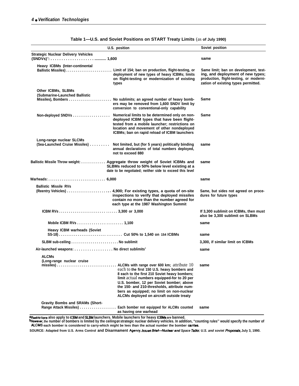|                                                            | U.S. position                                                                                                                                                                                                                                                                                                                                                                          | Soviet position                                                                                                                                              |
|------------------------------------------------------------|----------------------------------------------------------------------------------------------------------------------------------------------------------------------------------------------------------------------------------------------------------------------------------------------------------------------------------------------------------------------------------------|--------------------------------------------------------------------------------------------------------------------------------------------------------------|
| <b>Strategic Nuclear Delivery Vehicles</b>                 |                                                                                                                                                                                                                                                                                                                                                                                        | same                                                                                                                                                         |
| Heavy ICBMs (Inter-continental                             | deployment of new types of heavy ICBMs; limits<br>on flight-testing or modernization of existing<br>types                                                                                                                                                                                                                                                                              | Same limit; ban on development, test-<br>ing, and deployment of new types;<br>production, flight-testing, or moderni-<br>zation of existing types permitted. |
| Other ICBMs, SLBMs<br>(Submarine-Launched Ballistic        | ers may be removed from 1,600 SNDV limit by<br>conversion to conventional-only capability                                                                                                                                                                                                                                                                                              | Same                                                                                                                                                         |
| Non-deployed SNDVs                                         | Numerical limits to be determined only on non-<br>deployed ICBM types that have been flight-<br>tested from a mobile launcher; restrictions on<br>location and movement of other nondeployed<br>ICBMs; ban on rapid reload of ICBM launchers                                                                                                                                           | Same                                                                                                                                                         |
| Long-range nuclear SLCMs<br>(Sea-Launched Cruise Missiles) | Not limited, but (for 5 years) politically binding<br>annual declarations of total numbers deployed,<br>not to exceed 880                                                                                                                                                                                                                                                              | same                                                                                                                                                         |
|                                                            | Ballistic Missile Throw weight:  Aggregate throw weight of Soviet ICBMs and<br>SLBMs reduced to 50% below level existing at a<br>date to be negotiated; neither side to exceed this level                                                                                                                                                                                              | same                                                                                                                                                         |
|                                                            |                                                                                                                                                                                                                                                                                                                                                                                        | same                                                                                                                                                         |
| <b>Ballistic Missile RVs</b>                               | inspections to verify that deployed missiles<br>contain no more than the number agreed for<br>each type at the 1987 Washington Summit                                                                                                                                                                                                                                                  | Same, but sides not agreed on proce-<br>dures for future types                                                                                               |
|                                                            |                                                                                                                                                                                                                                                                                                                                                                                        | If 3,300 sublimit on ICBMs, then must<br>also be 3,300 sublimit on SLBMs                                                                                     |
|                                                            |                                                                                                                                                                                                                                                                                                                                                                                        | same                                                                                                                                                         |
| <b>Heavy ICBM warheads (Soviet</b>                         |                                                                                                                                                                                                                                                                                                                                                                                        | same                                                                                                                                                         |
|                                                            |                                                                                                                                                                                                                                                                                                                                                                                        | 3,300, if similar limit on ICBMs                                                                                                                             |
| Air-launched weapons: No direct sublimits <sup>®</sup>     |                                                                                                                                                                                                                                                                                                                                                                                        | same                                                                                                                                                         |
| <b>ALCMs</b><br>(Long-range nuclear cruise<br>$missiles)$  | ALCMs with range over 600 km; attribute $10$ same<br>each to the first 150 U.S. heavy bombers and<br>8 each to the first 210 Soviet heavy bombers;<br>limit actual numbers equipped-for to 20 per<br>U.S. bomber, 12 per Soviet bomber; above<br>the 150- and 210-thresholds, attribute num-<br>bers as equipped; no limit on non-nuclear<br>ALCMs deployed on aircraft outside treaty |                                                                                                                                                              |
| <b>Gravity Bombs and SRAMs (Short-</b>                     | Range Attack Missiles) Each bomber not equipped for ALCMs counted<br>as having one warhead<br>Makila Jamahang fan haam 10011.                                                                                                                                                                                                                                                          | same                                                                                                                                                         |

| Table 1-U.S. and Soviet Positions on START Treaty Limits (as of July 1990) |  |  |
|----------------------------------------------------------------------------|--|--|
|----------------------------------------------------------------------------|--|--|

<sup>a</sup>Restrictions also apply to ICBM and SLBM launchers. Mobile launchers for heavy ICBMs are banned.<br><sup>b</sup>However,the number of bombers is limited by the ceilingon strategic nuclear delivery vehicles. In addition, "counting **ALCMS each bomber is considered to carry-which might be lees than the actual number the bomber cardes.**

SOURCE: Adapted from U.S. Arms Control and Disarmament Agency, *Issues Brief-Nuclear and Space Talks: U.S. and soviet Proposals, July 3, 1990.*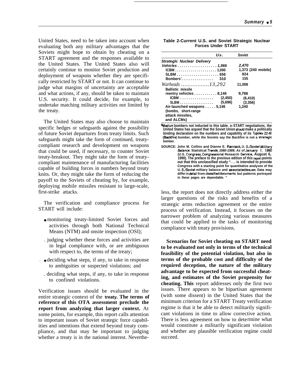United States, need to be taken into account when evaluating both any military advantages that the Soviets might hope to obtain by cheating on a START agreement and the responses available to the United States. The United States also will certainly continue to monitor Soviet production and deployment of weapons whether they are specifically restricted by START or not. It can continue to judge what margins of uncertainty are acceptable and what actions, if any, should be taken to maintain U.S. security. It could decide, for example, to undertake matching military activities not limited by the treaty.

The United States may also choose to maintain specific hedges or safeguards against the possibility of future Soviet departures from treaty limits. Such safeguards might take the form of continued, treatycompliant research and development on weapons that could be used, if necessary, to counter Soviet treaty-breakout. They might take the form of treatycompliant maintenance of manufacturing facilities capable of building forces in numbers beyond treaty knits. Or, they might take the form of reducing the payoff to the Soviets of cheating by, for example, deploying mobile missiles resistant to large-scale, first-strike attacks.

The verification and compliance process for START will include:

- monitoring treaty-limited Soviet forces and activities through both National Technical Means (NTM) and onsite inspection (OSI);
- . judging whether these forces and activities are in legal compliance with, or are ambiguous with respect to, the terms of the treaty;
- , deciding what steps, if any, to take in response to ambiguities or suspected violations; and
	- . deciding what steps, if any, to take in response to confined violations.

Verification issues should be evaluated in the entire strategic context of the **treaty. The terms of reference of this OTA assessment preclude the report from analyzing that larger context.** At some points, for example, this report calls attention to important issues of Soviet strategic force capabilities and intentions that extend beyond treaty compliance, and that may be important to judging whether a treaty is in the national interest. Neverthe-

| Table 2-Current U.S. and Soviet Strategic Nuclear |  |
|---------------------------------------------------|--|
| <b>Forces Under START</b>                         |  |

|                                   | Us.      | <b>Soviet</b>      |
|-----------------------------------|----------|--------------------|
| <b>Strategic Nuclear Delivery</b> |          |                    |
| Vehicles 1,966                    |          | 2,470              |
|                                   |          | 1,373 (240 mobile) |
|                                   |          | 924                |
| Bombers <sup>8</sup>              | 310      | 155                |
| Warheads 13,292                   |          | 11.006             |
| <b>Ballistic missile</b>          |          |                    |
| reentry vehicles 8,146            |          | 9.766              |
| ICBM                              | (2, 450) | (6, 410)           |
| $SLBM$                            | (5,696)  | (3,356)            |
| Air-launched weapons 5,146        |          | 1.240              |
| (bombs, short-range)              |          |                    |
| attack missiles.                  |          |                    |
| and ALCMs)                        |          |                    |

**%ledium bombers not inducted in this table. In START negotiations, the United States has argued that the Soviet Union shoukt make a politically binding declaration on the numbers and capability of its Tupoiev 22-M (Baddire) bomber, while the Soviets say the Backfire is not a strategk bomber.**

**SOURCE: John M. Collins and Dianne E. Rennack U. SJS.otiet Mi//tary Balarnx: Statistical Trmds, 1980-1989, As of Jarruary** 1, 1990 (U.S. Congress, Congressional Research Service, August 6,<br>1990). The preface to the previous edition of this report points **out that this unclassified study ". . . is intended to provide Congress with a starting point for quantitative analyses of the** U. S. Soviet military balance and associated issues. Data may **differ indetall from dassifieddocwnents, but patterns portrayed** in these pages are dependable.

less, the report does not directly address either the larger questions of the risks and benefits of a strategic arms reduction agreement or the entire process of verification. Instead, it focuses on the narrower problem of analyzing various measures that could be applied to the tasks of monitoring compliance with treaty provisions.

**Scenarios for Soviet cheating on START need to be evaluated not only in terms of the technical feasibility of the potential violation, but also in terms of the probable cost and difficulty of the required deception, the nature of the military advantage to be expected from successful cheating, and estimates of the Soviet propensity for cheating. This** report addresses only the first two issues. There appears to be bipartisan agreement (with some dissent) in the United States that the minimum criterion for a START Treaty verification regime is that it be able to detect militarily significant violations in time to allow corrective action. There is less agreement on how to determine what would constitute a militarily significant violation and whether any plausible verification regime could succeed.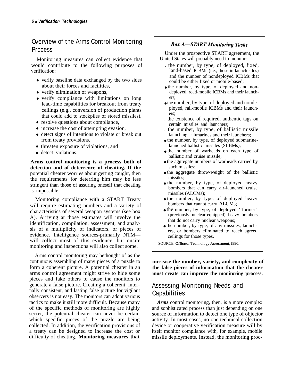## Overview of the Arms Control Monitoring Process

Monitoring measures can collect evidence that would contribute to the following purposes of verification:

- verify baseline data exchanged by the two sides about their forces and facilities,
- verify elimination of weapons,
- verify compliance with limitations on long lead-time capabilities for breakout from treaty ceilings (e.g., conversion of production plants that could add to stockpiles of stored missiles),
- resolve questions about compliance,
- increase the cost of attempting evasion,
- detect signs of intentions to violate or break out from treaty provisions,
- threaten exposure of violations, and
- detect violations.

**Arms control monitoring is a process both of detection and of deterrence of cheating. If the** potential cheater worries about getting caught, then the requirements for deterring him may be less stringent than those of assuring oneself that cheating is impossible.

Monitoring compliance with a START Treaty will require estimating numbers and a variety of characteristics of several weapon systems (see box A). Arriving at those estimates will involve the identification, compilation, assessment, and analysis of a multiplicity of indicators, or pieces of evidence. Intelligence sources-primarily NTM will collect most of this evidence, but onsite monitoring and inspections will also collect some.

Arms control monitoring may bethought of as the continuous assembling of many pieces of a puzzle to form a coherent picture. A potential cheater in an arms control agreement might strive to hide some pieces and fake others to cause the monitors to generate a false picture. Creating a coherent, internally consistent, and lasting false picture for vigilant observers is not easy. The monitors can adopt various tactics to make it still more difficult. Because many of the specific methods of monitoring are highly secret, the potential cheater can never be certain which specific pieces of the puzzle are being collected. In addition, the verification provisions of a treaty can be designed to increase the cost or difficulty of cheating. **Monitoring measures that**

#### **Box A-START Monitoring Tasks**

Under the prospective START agreement, the United States will probably need to monitor:

- . the number, by type, of deployed, fixed, land-based ICBMs (i.e., those in launch silos) and the number of nondeployed ICBMs that could be either fixed or mobile-based;
- the number, by type, of deployed and nondeployed, road-mobile ICBMs and their launchers;
- the number, by type, of deployed and nondeployed, rail-mobile ICBMs and their launchers;
- . the existence of required, authentic tags on certain missiles and launchers;
- . the number, by type, of ballistic missile launching submarines and their launchers;
- the number, by type, of deployed submarinelaunched ballistic missiles (SLBMs);
- the number of warheads on each type of ballistic and cruise missile;
- the aggregate numbers of warheads carried by such missiles;
- the aggregate throw-weight of the ballistic missiles;
- the number, by type, of deployed heavy bombers that can carry air-launched cruise missiles (ALCMs);
- the number, by type, of deployed heavy bombers that cannot carry ALCMs;
- the number, by type, of deployed ''former' (previously nuclear-equipped) heavy bombers that do not carry nuclear weapons;
- the number, by type, of any missiles, launchers, or bombers eliminated to reach agreed ceilings for those types.

SOURCE: Office of Technology Assessment, 1990.

**increase the number, variety, and complexity of the false pieces of information that the cheater must create can improve the monitoring process.**

# Assessing Monitoring Needs and **Capabilities**

*Arms* control monitoring, then, is a more complex and sophisticated process than just depending on one source of information to detect one type of objector activity. In most cases, no one technical collection device or cooperative verification measure will by itself monitor compliance with, for example, mobile missile deployments. Instead, the monitoring proc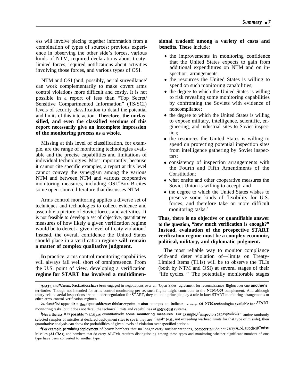ess will involve piecing together information from a combination of types of sources: previous experience in observing the other side's forces, various kinds of NTM, required declarations about treatylimited forces, required notifications about activities involving those forces, and various types of OSI.

NTM and OSI (and, possibly, aerial surveillance) can work complementarily to make covert arms control violations more difficult and costly. It is not possible in a report of less than "Top Secret/ Sensitive Compartmented Information" (TS/SCI) levels of security classification to detail the potential and limits of this interaction. **Therefore, the unclassified, and even the classified versions of this report necessarily give an incomplete impression of the monitoring process as a whole.**

Missing at this level of classification, for example, are the range of monitoring technologies available and the precise capabilities and limitations of individual technologies. Most importantly, because it cannot cite specific examples, a report at this level cannot convey the synergism among the various NTM and between NTM and various cooperative monitoring measures, including OSI.<sup>2</sup>Box B cites some open-source literature that discusses NTM.

Arms control monitoring applies a diverse set of techniques and technologies to collect evidence and assemble a picture of Soviet forces and activities. It is not feasible to develop a set of objective, quantitative measures of how likely a given verification regime would be to detect a given level of treaty violation.<sup>3</sup> Instead, the overall confidence the United States should place in a verification regime **will remain a matter of complex qualitative judgment.**

**In** practice, arms control monitoring capabilities will always fall well short of omnipresence. From the U.S. point of view, developing a verification **regime for START has involved a multidimen-** **sional tradeoff among a variety of costs and benefits. These** include:

- the improvements in monitoring confidence that the United States expects to gain from additional expenditures on NTM and on inspection arrangements;
- the resources the United States is willing to spend on such monitoring capabilities;
- the degree to which the United States is willing to risk revealing some monitoring capabilities by confronting the Soviets with evidence of noncompliance;
- the degree to which the United States is willing to expose military, intelligence, scientific, engineering, and industrial sites to Soviet inspection;
- the resources the United States is willing to spend on protecting potential inspection sites from intelligence gathering by Soviet inspectors;
- consistency of inspection arrangements with the Fourth and Fifth Amendments of the Constitution;
- what onsite and other cooperative measures the Soviet Union is willing to accept; and
- the degree to which the United States wishes to preserve some kinds of flexibility for U.S. forces, and therefore take on more difficult monitoring tasks.<sup>4</sup>

**Thus, there is no objective or quantifiable answer to the question, "how much verification is enough?" Instead, evaluation of the prospective START verification regime must be a complex economic, political, military, and diplomatic judgment.**

**The** most reliable way to monitor compliance with-and deter violation of—limits on Treaty-Limited Items (TLIs) will be to observe the TLIs (both by NTM and OSI) at several stages of their "life cycles. " The potentially monitorable stages

INATO and Warsaw Pact nations have been engaged in negotiations over an 'Open Skies' agreement for reconnaissance flights over one another's territories. Though not intended for arms control monitoring per se, such flights might contribute to the NTM-OSI complement. And although treaty-related aerial inspections are not under negotiation for START, they could in principle play a role in later START monitoring arrangements or other arms control verification regimes.

<sup>2</sup>A classified appendix t. this report addresses this latter point. It also attempts to indicate the range Of NTM technologies available for START monitoring tasks, but it does not detail the technical limits and capabilities of individwd systems.

<sup>&</sup>lt;sup>3</sup>Nevertheless, it is possible to analyze quantitatively some monitoring measures. For example, if inspectors can repeatedly  $\cdot$  amine randomly selected samples of missiles at declared deployment sites to see if they are "legal" (e.g., not exceeding warhead limits for that type of missile), then quantitative analysis can show the probabilities of given levels of violation over specified periods.

<sup>4</sup>For example, permitting deployment of heavy bombers that no longer carry nuclear weapons, bombers that do not carry Air-Launched Cruise Missiles (ALCMs), and bombers that do carry ALCMs requires distinguishing among these types and monitoring whether significant numbers of one type have been converted to another type.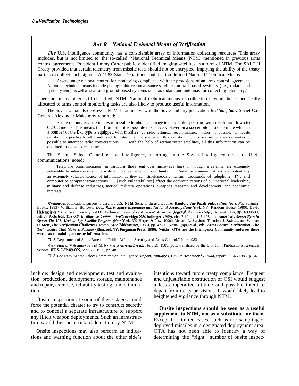#### **Box B-National Technical Means of Verification**

*The* U.S. intelligence community has a considerable array of information collecting resources. This array includes, but is not limited to, the so-called ''National Technical Means (NTM) mentioned in previous arms control agreements. President Jimmy Carter publicly identified imaging satellites as a form of NTM. The SALT II Treaty provided that certain telemetry from missile tests should not be encrypted, implying the ability of the treaty parties to collect such signals. A 1983 State Department publication defined National Technical Means as:

Assets under national control for monitoring compliance with the provisions of an arms control agreement. National technical means include photographic reconnaissance satellites, aircraft-based systems (i.e., radars and optical systems), as well as sea- and ground-based systems such as radars and antennas for collecting telemetry.<sup>b</sup>

There are many other, still classified, NTM. National technical means of collection beyond those specifically allocated to arms control monitoring tasks are also likely to produce useful information.

The Soviet Union also possesses NTM. In an interview in the Soviet military publication *Red Star, Star,* Soviet Col. General Alexander Maksimov reported:

Space reconnaissance makes it possible to obtain an image in the visible spectrum with resolution down to 0.2-0.3 meters. This means that from orbit it is possible to see every player on a soccer pitch, to determine whether a bomber of the B-1 type is equipped with missiles . . . radio-technical reconnaissance makes it possible to locate radiation in practically all bands and to determine the source of this radiation , . . space reconnaissance makes it possible to intercept radio conversations . . . with the help of retransmitter satellites, all this information can be obtained in close to real time.<sup>c</sup>

The Senate Select Committee on Intelligence, reporting on the Soviet intelligence threat to U.S. communications, noted:

Telephone communications, in particular those sent over microwave lines or through a satellite, are extremely vulnerable to interception and provide a lucrative target of opportunity . . . Satellite communications are potentially an extremely valuable source of information as they can simultaneously transmit thousands of telephone, TV, and computer to computer transactions . . . [such vulnerabilities] affect the communications of our national leadership, military and defense industries, tactical military operations, weapons research and development, and economic interests.<sup>d</sup>

aNumerous publications purport to describe U.S. NTM. Some of these are: James Bamford, The *Puzzle Palace (New York+ NY:* Penguin Books, 1983); William E. Burrows, *Deep Black: Space Espionage and National Secm"ry (New* York NY: Random House, 1986); David Hafemeister, "Science and society test IX: Technical means of verification" **American** *Journal of Physics 54(8),* August 1986, pp. 6934599; Jeffrey Richelson, The U.S. Intelligence Community (Cambridge, MA: Ballinger, 1989), chs. 7-10, pp. 145-198, and America's Secret Eyes in<br>Space: The U.S. Keyhole Spy Satellite Program (New York, NY: Harper & Row, 1990); Ri D. Metz, *The Verification Cha/Jenge* (Boston, MA: Birkhaeuser, 1985), pp. 47-86; Kosta Tsipis et al., eds., *Arms Control Verification: The Technologies That Make It Possible* **(33msford, NY: Pergamon Press, 1986).** Neitber **OTA nor the Intelligence Community endorses these works as containing accurate information.**

**~.S.** Department of State, Bureau of Public Affairs, "Security and Arms Control," June 1983

cInterview of Maksimov by Col. M. Rebrov, *Krasnaya Zvezda*, July 29, 1989, p. 3, translated by the U.S. Joint Publications Research Service, JPRS-USP-89-009, Sept. 22, 1989, pp. 48-50.

%J.S. Congress, Senate Select Committee on Intelligence, *Report, January 1,1983 to December 3], 1984,* report 98-665.1985, p. 34.

include: design and development, test and evaluation, production, deployment, storage, maintenance and repair, exercise, reliability testing, and elimination

Onsite inspection at some of these stages could force the potential cheater to try to construct secretly and to conceal a separate infrastructure to support any illicit weapon deployments. Such an infrastructure would then be at risk of detection by NTM.

Onsite inspections may also perform an indications and warning function about the other side's intentions toward future treaty compliance. Frequent and unjustifiable obstruction of OSI would suggest a less cooperative attitude and possible intent to depart from treaty provisions. It would likely lead to heightened vigilance through NTM.

**Onsite inspections should be seen as a useful supplement to NTM, not as a substitute for them.** Except for limited cases, such as the sampling of deployed missiles in a designated deployment area, OTA has not been able to identify a way of determining the "right" number of onsite inspec-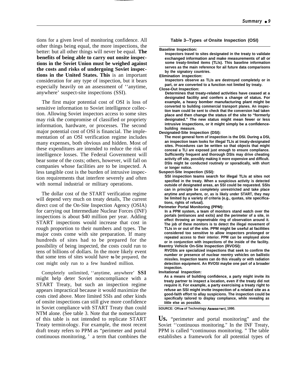tions for a given level of monitoring confidence. All other things being equal, the more inspections, the better: but all other things will never be equal. **The benefits of being able to carry out onsite inspections in the Soviet Union must be weighed against the costs and risks of undergoing Soviet inspections in the United States. This** is an important consideration for any type of inspection, but it bears especially heavily on an assessment of ''anytime, anywhere' suspect-site inspections (SSI).

The first major potential cost of OSI is loss of sensitive information to Soviet intelligence collection. Allowing Soviet inspectors access to some sites may risk the compromise of classified or propriety information, hardware, or processes. The second major potential cost of OSI is financial. The implementation of an OSI verification regime includes many expenses, both obvious and hidden. Most of these expenditures are intended to reduce the risk of intelligence losses. The Federal Government will bear some of the costs; others, however, will fall on companies whose facilities are to be inspected. A less tangible cost is the burden of intrusive inspection requirements that interfere severely and often with normal industrial or military operations.

The dollar cost of the START verification regime will depend very much on treaty details, The current direct cost of the On-Site Inspection Agency (OSIA) for carrying out Intermediate Nuclear Forces (INF) inspections is about \$40 million per year. Adding START inspections would increase that cost in rough proportion to their numbers and types. The major costs come with site preparation. If many hundreds of sites had to be prepared for the possibility of being inspected, the costs could run to tens of billions of dollars. In the more likely event that some tens of sites would have **to** be prepared, the cost might only run to a few hundred million.

Completely unlimited, ''anytime, anywhere' **SSI** might help deter Soviet noncompliance with a START Treaty, but such an inspection regime appears impractical because it would maximize the costs cited above. More limited SSIs and other kinds of onsite inspections can still give more confidence in Soviet compliance with START Treaty than could NTM alone. (See table 3. Note that the nomenclature of this table is not intended to replicate START Treaty terminology. For example, the most recent draft treaty refers to PPM as "perimeter and portal continuous monitoring, ' a term that combines the

#### **Table 3--Types of Onsite Inspection (OSI)**

#### **Baseline Inspection:**

**Inspectors travel to sites designated in the treaty to validate exchanged information and make measurements of all or some treaty-limited items (TLls). This baseline information serves as the main reference for ail future data comparisons by the signatory countries.**

#### **Elimination inspection:**

**Inspectors observe as TLIs are destroyed completely or in part, or are converted to a function not limited by treaty.**

**Close-Out Inspection:**

**Determines that treaty-related activities have ceased at a designated facility and confers a change of status. For example, a heavy bomber manufacturing plant might be converted to building commercial transport planes. An inspection team could be sent to check that the conversion had taken place and then change the status of the site to "formerly designated." The new status might mean fewer or less intrusive inspections, or it might simply be a confidencebuilding measure.**

**Designated-Site Inspection (DSI):**

**The most general form of inspection is the DSI. During a DSI, an inspection team looks for illegal TLIs at treaty-designated sites. Procedures can be written so that objects that might conceal a TLI are exposed just enough to ensure compliance. Sufficiently frequent and thorough DSIs may drive cheating activity off site, possibly making it more expensive and difficult. DSIs might be conducted routinely or sporadically, with short or longer notice.**

#### **Suspect-Site inspection (SSI):**

**SSI inspection teams search for illegal TLIs at sites not specified in the treaty. When a suspicious activity is detected outside of designated areas, an SSI could be requested. SSIs can in principle be completeiy unrestricted and take place anytime and anywhere, or, as is likely under START, they may be limited by a variety of criteria (e.g., quotas, site specifications, rights of refusal).**

**Perimeter Portal Monitoring (PPM):**

**In a PPM system, a team of monitors stand watch over the portals (entrances and exits) and the perimeter of a site, in effect throwing an impenetrable ring of observation around it. The job of these monitors is to detect the illegal movement of TLIs in or out of the site. PPM might be useful at facilities considered too sensitive to allow inspectors prolonged or repeated access to their interior. PPM can be employed alone or in conjunction with inspections of the inside of the facility. Reentry Vehicle On-Site Inspection (RVOSI):**

**RVOSIs are specialized inspections that seek to confirm the number or presence of nuclear reentry vehicles on ballistic missiles. Inspection teams can do this visually or with radiation detection equipment. An RVOSI maybe one part of a broader inspection.**

**Invitational Inspection:**

**As a means of building confidence, a party might invite its treaty partner to inspect a location, even if the treaty did not require it. For example, a party exercising a treaty right to refuse an SSI might invite inspection of a related site as a good-faith effort to allay suspicions. The inspection could be specifically tailored to display compliance, while revealing as Iittle else as possible.**

**SOURCE: Office of Technology Assessment, 1990.** 

**Us.** "perimeter and portal monitoring" and the Soviet ''continuous monitoring." In the INF Treaty, PPM is called "continuous monitoring. " The table establishes a framework for all potential types of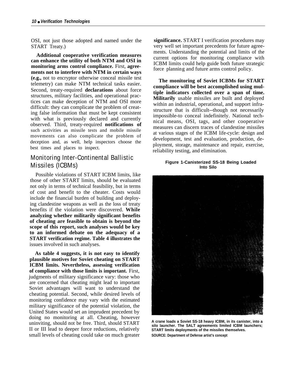OSI, not just those adopted and named under the START Treaty.)

**Additional cooperative verification measures can enhance the utility of both NTM and OSI in monitoring arms control compliance.** First, **agreements not to interfere with NTM in certain ways (e.g.,** not to encryptor otherwise conceal missile test telemetry) can make NTM technical tasks easier. Second, treaty-required **declarations** about force structures, military facilities, and operational practices can make deception of NTM and OSI more difficult: they can complicate the problem of creating false information that must be kept consistent with what is previously declared and currently observed. Third, treaty-required **notifications of** such activities as missile tests and mobile missile movements can also complicate the problem of deception and, as well, help inspectors choose the best times and places to inspect.

## Monitoring Inter-Continental Ballistic Missiles (ICBMs)

Possible violations of START ICBM limits, like those of other START limits, should be evaluated not only in terms of technical feasibility, but in terms of cost and benefit to the cheater. Costs would include the financial burden of building and deploying clandestine weapons as well as the loss of treaty benefits if the violation were discovered. **While analyzing whether militarily significant benefits of cheating are feasible to obtain is beyond the scope of this report, such analyses would be key to an informed debate on the adequacy of a START verification regime. Table 4 illustrates the** issues involved in such analyses.

**As table 4 suggests, it is not easy to identify plausible motives for Soviet cheating on START ICBM limits. Nevertheless, assessing verification of compliance with those limits is important.** First, judgments of military significance vary: those who are concerned that cheating might lead to important Soviet advantages will want to understand the cheating potential. Second, while desired levels of monitoring confidence may vary with the estimated military significance of the potential violation, the United States would set an imprudent precedent by doing no monitoring at all. Cheating, however uninviting, should not be free. Third, should START II or III lead to deeper force reductions, relatively small levels of cheating could take on much greater **significance.** START I verification procedures may very well set important precedents for future agreements. Understanding the potential and limits of the current options for monitoring compliance with ICBM limits could help guide both future strategic force planning and future arms control policy.

**The monitoring of Soviet ICBMs for START compliance will be best accomplished using multiple indicators collected over a span of time. Militarily** usable missiles are built and deployed within an industrial, operational, and support infrastructure that is difficult--though not necessarily impossible-to conceal indefinitely. National technical means, OSI, tags, and other cooperative measures can discern traces of clandestine missiles at various stages of the ICBM life-cycle: design and development, test and evaluation, production, deployment, storage, maintenance and repair, exercise, reliability testing, and elimination.

#### **Figure 1-Canisterized SS-18 Being Loaded Into Silo**



**A crane loads a Soviet SS-18 heavy ICBM, in its canister, into a silo launcher. The SALT agreements limited ICBM launchers; START limits deployments of the missiles themselves. SOURCE: Department of Defense artist's concept**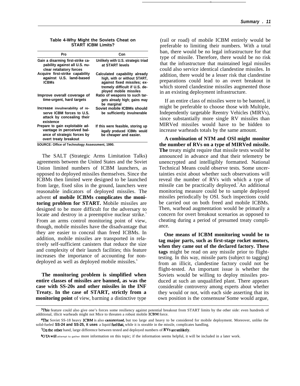| Pro                                                                                                                  | Con                                                                                                                                                     |
|----------------------------------------------------------------------------------------------------------------------|---------------------------------------------------------------------------------------------------------------------------------------------------------|
| Gain a disarming first-strike ca-<br>pability against all U.S. nu-<br>clear retaliatory forces                       | Unlikely with U.S. strategic triad<br>at START levels                                                                                                   |
| Acquire first-strike capability<br>against U.S. land-based<br><b>ICBMs</b>                                           | Calculated capability already<br>high, with or without START,<br>against fixed missiles; ex-<br>tremely difficult if U.S. de-<br>ployed mobile missiles |
| Improve overall coverage of<br>time-urgent, hard targets                                                             | Ratio of weapons to such tar-<br>gets already high; gains may<br>be marginal                                                                            |
| Increase invulnerability of re-<br>serve ICBM forces to U.S.<br>attack by concealing their<br>existence              | Soviet mobile ICBMs should<br>be sufficiently invulnerable                                                                                              |
| Prepare to gain exploitable ad-<br>vantage in perceived bal-<br>ance of strategic forces by<br>overt treaty breakout | If this were feasible, storing up<br>legally produced ICBMs would<br>be cheaper and easier.                                                             |
| SOURCE: Office of Technology Assessment, 1990.                                                                       |                                                                                                                                                         |

The SALT (Strategic Arms Limitation Talks) agreements between the United States and the Soviet Union limited numbers of ICBM launchers, as opposed to deployed missiles themselves. Since the ICBMs then limited were designed to be launched from large, fixed silos in the ground, launchers were reasonable indicators of deployed missiles. The advent **of mobile ICBMs complicates the monitoring problem for START.** Mobile missiles are designed to be more difficult for the adversary to locate and destroy in a preemptive nuclear strike.<sup>5</sup> From an arms control monitoring point of view, though, mobile missiles have the disadvantage that they are easier to conceal than freed ICBMs. In addition, mobile missiles are transported in relatively self-sufficient canisters that reduce the size and complexity of their launch facilities; this feature increases the importance of accounting for nondeployed as well as deployed mobile missiles.<sup>6</sup>

**The monitoring problem is simplified when entire classes of missiles are banned, as was the case with SS-20s and other missiles in the INF Treaty. In the case of START, strictly from a monitoring point** of view, barming a distinctive type

(rail or road) of mobile ICBM entirely would be preferable to limiting their numbers. With a total ban, there would be no legal infrastructure for that type of missile. Therefore, there would be no risk that the infrastructure that maintained legal missiles could also service identical clandestine missiles. In addition, there would be a lesser risk that clandestine preparations could lead to an overt breakout in which stored clandestine missiles augmented those in an existing deployment infrastructure.

If an entire class of missiles were to be banned, it might be preferable to choose those with Multiple, Independently targetable Reentry Vehicles (MIRVs), since substantially more single RV missiles than MIRVed missiles would have to be hidden to increase warheads totals by the same amount.

**A combination of NTM and OSI might monitor the number of RVs on a type of MIRVed missile. The** treaty might require that missile tests would be announced in advance and that their telemetry be unencrypted and intelligibly formatted. National Technical Means could observe tests. Some uncertainties exist about whether such observations will reveal the number of RVs with which a type of missile can be practically deployed.<sup>7</sup>An additional monitoring measure could be to sample deployed missiles periodically by OSI. Such inspections could be carried out on both freed and mobile ICBMs. Then, warhead augmentation would be primarily a concern for overt breakout scenarios as opposed to cheating during a period of presumed treaty compliance.

**One means of ICBM monitoring would be to tag major parts, such as first-stage rocket motors, when they came out of the declared factory. These tags** might be read on any missile prior to flighttesting. In this way, missile parts (subject to tagging) from an illicit, clandestine factory could not be flight-tested. An important issue is whether the Soviets would be willing to deploy missiles produced at such an unqualified plant. There appears considerable controversy among experts about whether they would or not, with each side asserting that its own position is the consensuse'Some would argue,

7On the other hand, large difference between tested and deployed numbers of RVs are unlikely.

<sup>~</sup>s feature could also give one's forces some resiliency against potential breakout from START limits by the other side: even hundreds of additional, illicit warheads might not Mice to threaten a robust mobile ICBM force.

<sup>&</sup>lt;sup>6</sup>The Soviet SS-18 heavy ICBM is also canisterized, but too large and heavy to be considered for mobile deployment. Moreover, unlike the solid-fueled **SS-24 and SS-25, it uses** a liquid fuel that, while it is storable in the missile, complicates handling.

**<sup>\$(</sup>IZ4 will** attempt to gather more information on this topic; if the information seems helpful, it will be included in a later work.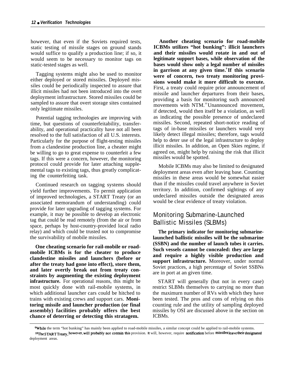however, that even if the Soviets required tests, static testing of missile stages on ground stands would suffice to qualify a production line; if so, it would seem to be necessary to monitor tags on static-tested stages as well.

Tagging systems might also be used to monitor either deployed or stored missiles. Deployed missiles could be periodically inspected to assure that illicit missiles had not been introduced into the overt deployment infrastructure. Stored missiles could be sampled to assure that overt storage sites contained only legitimate missiles.

Potential tagging technologies are improving with time, but questions of counterfeitability, transferability, and operational practicality have not all been resolved to the full satisfaction of all U.S. interests. Particularly for the purpose of flight-testing missiles from a clandestine production line, a cheater might be willing to go to great expense to counterfeit a few tags. If this were a concern, however, the monitoring protocol could provide for later attaching supplemental tags to existing tags, thus greatly complicating the counterfeiting task.

Continued research on tagging systems should yield further improvements. To permit application of improved technologies, a START Treaty (or an associated memorandum of understanding) could provide for later upgrading of tagging systems. For example, it may be possible to develop an electronic tag that could be read remotely (from the air or from space, perhaps by host-country-provided local radio relay) and which could be trusted not to compromise the survivability of mobile missiles.

**One cheating scenario for rail-mobile or roadmobile ICBMs is for the cheater to produce clandestine missiles and launchers (before or after the treaty had gone into effect), store them, and later overtly break out from treaty constraints by augmenting the existing deployment infrastructure.** For operational reasons, this might be most quickly done with rail-mobile systems, in which additional launcher cars could be hitched to trains with existing crews and support cars. **Monitoring missile and launcher production (or final assembly) facilities probably offers the best chance of deterring or detecting this stratagem.**

**Another cheating scenario for road-mobile ICBMs utilizes "hot bunking": illicit launchers and their missiles would rotate in and out of legitimate support bases, while observation of the bases would show only a legal number of missiles in garrison at any given time.<sup>9</sup>If this scenario were of concern, two treaty monitoring provisions would make it more difficult to execute.** First, a treaty could require prior announcement of missile and launcher departures from their bases, providing a basis for monitoring such announced movements with NTM.<sup>10</sup>Unannounced movement, if detected, would then itself be a violation, as well as indicating the possible presence of undeclared missiles. Second, repeated short-notice reading of tags of in-base missiles or launchers would very likely detect illegal missiles; therefore, tags would help to deter use of the legal infrastructure to deploy illicit missiles. In addition, an Open Skies regime, if agreed on, might help by raising the risk that illicit missiles would be spotted.

Mobile ICBMs may also be limited to designated deployment areas even after leaving base. Counting missiles in these areas would be somewhat easier than if the missiles could travel anywhere in Soviet territory. In addition, confirmed sightings of any undeclared missiles outside the designated areas would be clear evidence of treaty violation.

### Monitoring Submarine-Launched Ballistic Missiles (SLBMs)

**The primary indicator for monitoring submarinelaunched ballistic missiles will be the submarine (SSBN) and the number of launch tubes it carries. Such vessels cannot be concealed: they are large and require a highly visible production and support infrastructure.** Moreover, under normal Soviet practices, a high percentage of Soviet SSBNs are in port at an given time.

START will generally (but not in every case) restrict SLBMs themselves to carrying no more than the maximurn number of RVs with which they have been tested. The pros and cons of relying on this counting rule and the utility of sampling deployed missiles by OSI are discussed above in the section on ICBMs.

**While** the term "hot bunking" has mainly been applied to road-mobile missiles, a similar concept could be applied to rail-mobile systems. 10The START Treaty, however, will probably not contain this provision. It will, however, require notification before missiles leave their designated deployment areas.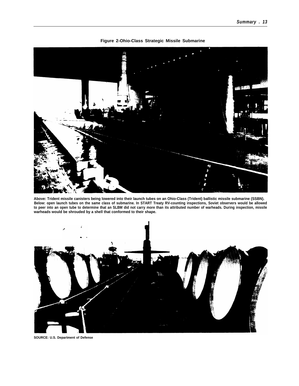

**Figure 2-Ohio-Class Strategic Missile Submarine**

**Above: Trident missile canisters being lowered into their launch tubes on an Ohio-Class (Trident) ballistic missile submarine (SSBN). Below: open launch tubes on the same class of submarine. In START Treaty RV-counting inspections, Soviet observers would be allowed to peer into an open tube to determine that an SLBM did not carry more than its attributed number of warheads. During inspection, missile warheads would be shrouded by a shell that conformed to their shape.**



**SOURCE: U.S. Department of Defense**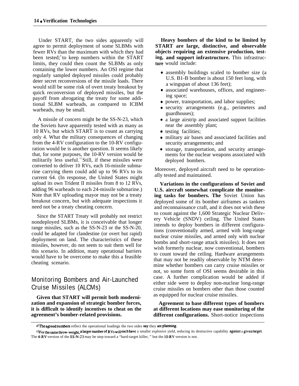Under START, the two sides apparently will agree to permit deployment of some SLBMs with fewer RVs than the maximum with which they had been tested; to keep numbers within the START limits, they could then count the SLBMs as only containing the lower numbers. An OSI regime that regularly sampled deployed missiles could probably deter secret reconversions of the missile loads. There would still be some risk of overt treaty breakout by quick reconversion of deployed missiles, but the payoff from abrogating the treaty for some additional SLBM warheads, as compared to ICBM warheads, may be small.

A missile of concern might be the SS-N-23, which the Soviets have apparently tested with as many as 10 RVs, but which START is to count as carrying only 4. What the military consequences of changing from the 4-RV configuration to the 10-RV configuration would be is another question. It seems likely that, for some purposes, the 10-RV version would be militarily less useful.<sup>12</sup> Still, if these missiles were converted to deliver 10 RVs, each 16-missile submarine carrying them could add up to 96 RVs to its current 64. (In response, the United States might upload its own Trident II missiles from 8 to 12 RVs, adding 96 warheads to each 24-missile submarine.) Note that RV uploading mayor may not be a treaty breakout concern, but with adequate inspections it need not be a treaty cheating concern.

Since the START Treaty will probably not restrict nondeployed SLBMs, it is conceivable that longer range missiles, such as the SS-N-23 or the SS-N-20, could be adapted for clandestine (or overt but rapid) deployment on land. The characteristics of these missiles, however, do not seem to suit them well for this scenario. In addition, many operational barriers would have to be overcome to make this a feasible cheating scenario.

## Monitoring Bombers and Air-Launched Cruise Missiles (ALCMs)

**Given that START will permit both modernization and expansion of strategic bomber forces, it is difficult to identify incentives to cheat on the agreement's bomber-related provisions.**

**Heavy bombers of the kind to be limited by START are large, distinctive, and observable objects requiring an extensive production, testing, and support infrastructure.** This infrastruc**ture** would include:

- assembly buildings scaled to bomber size (a U.S. B1-B bomber is about 150 feet long, with a wingspan of about 136 feet);
- associated warehouses, offices, and engineering space;
- power, transportation, and labor supplies;
- security arrangements (e.g., perimeters and guardhouses);
- a large airstrip and associated support facilities near the assembly plant;
- testing facilities;
- military air bases and associated facilities and security arrangements; and
- storage, transportation, and security arrangements for the nuclear weapons associated with deployed bombers.

Moreover, deployed aircraft need to be operationally tested and maintained.

**Variations in the configurations of Soviet and U.S. aircraft somewhat complicate the monitoring tasks for bombers. The** Soviet Union has deployed some of its bomber airframes as tankers and reconnaissance craft, and it does not wish these to count against the 1,600 Strategic Nuclear Delivery Vehicle (SNDV) ceiling. The United States intends to deploy bombers in different configurations (conventionally armed, armed with long-range nuclear cruise missiles, and armed only with nuclear bombs and short-range attack missiles). It does not wish formerly nuclear, now conventional, bombers to count toward the ceiling. Hardware arrangements that may not be readily observable by NTM determine whether bombers can carry cruise missiles or not, so some form of OSI seems desirable in this case. A further complication would be added if either side were to deploy non-nuclear long-range cruise missiles on bombers other than those counted as equipped for nuclear cruise missiles.

**Agreement to base different types of bombers at different locations may ease monitoring of the different configurations.** Short-notice inspections

<sup>&</sup>lt;sup>11</sup> The agreed numbers reflect the operational loadings the two sides say they are planning.

<sup>12</sup>For the same throw-weight, a larger number of RVs will each have a smaller explosive yield, reducing its destructive capability against a given target. The 4-RV version of the SS-N-23 may be step toward a "hard-target killer," but the 10-RV version is not.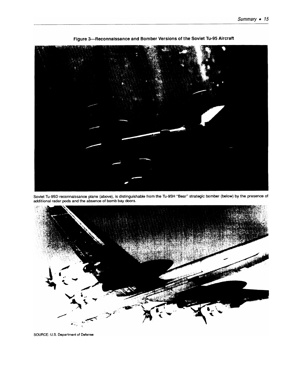

Figure 3-Reconnaissance and Bomber Versions of the Soviet Tu-95 Aircraft

Soviet Tu-95D reconnaissance plane (above), is distinguishable from the Tu-95H "Bear" strategic bomber (below) by the presence of<br>additional radar pods and the absence of bomb bay doors.



SOURCE: U.S. Department of Defense